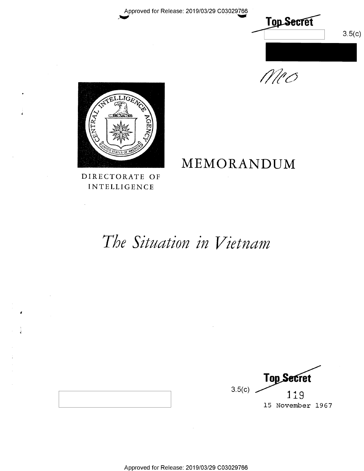Approved for Release: 2019/03/29 C03029766







DIRECTORATE OF INTELLIGENCE

## MEMORANDUM

The Situation in Vietnam

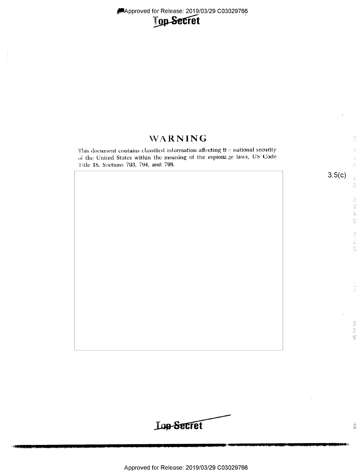Approved for Release: 2019/03/29 C03029766



## WARNING an<br>Si This document contains classified information affecting the national security 정부 of the United States within the meaning of the espionage laws, US Code B. Title 18, Sections 793, 794, and 798.  $\mathcal{A}^{\pm}_{\alpha}$  $3.5(c)$  $\widehat{\mathfrak{g}}$  $\frac{100}{100}$  $\frac{15}{36}$  $\begin{bmatrix} \frac{1}{2} & 0 \\ 0 & 0 \\ 0 & 0 \end{bmatrix}$ 酃  $\begin{array}{l} \mathbb{E}^{2+\gamma}_{\alpha\beta} \\ \mathbb{E}^{2+\gamma}_{\alpha\beta} \end{array}$  $\frac{\Delta S}{\hat{p}}$ 索制 i<br>Ad 珊瑚蟹

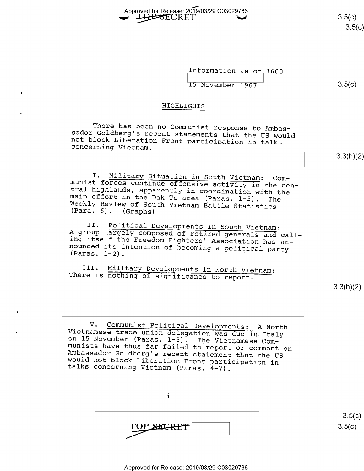Information as of <sup>1600</sup>  $15$  November 1967  $3.5(c)$ 

or-i

### HIGHLIGHTS

Approved for Release: 2019/03/29 C03029766<br>
Approved for Release: 2019/03/29 C03029766

--we

There has been no Communist response to Ambas-<br>sador Goldberg's recent statements that the US would<br>not block Liberation Front participation in talks<br>concerning Vietnam.

3.3(h)(2)

I. Military Situation in South Vietnam: Com-<br>munist forces continue offensive activity in the cen-<br>tral highlands, apparently in coordination with the<br>main effort in the Dak To area (Paras. 1-5). The<br>Weekly Review of South

II. Political Developments in South Vietnam: A group largely composed of retired generals and call- ing itself the Freedom Fighters' Association has an- nounced its intention of becoming a political party (Paras. 1-2). "

III. Military Developments in North Vietnam: There is nothing of significance to report.

3.3(h)(2)

V. Communist Political Developments: A North<br>Vietnamese trade union delegation was due in Italy<br>on 15 November (Paras. 1-3). The Vietnamese Com-<br>munists have thus far failed to report or comment on<br>Ambassador Goldberg's re

i  $\text{TOP}$   $\text{S5(c)}$ 

 $3.5(c)$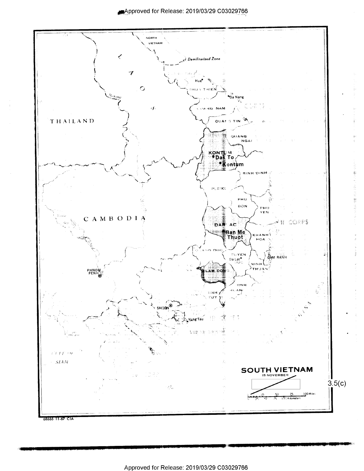

ţ.

Ŝ

1200年10月

68666 11-67 CIA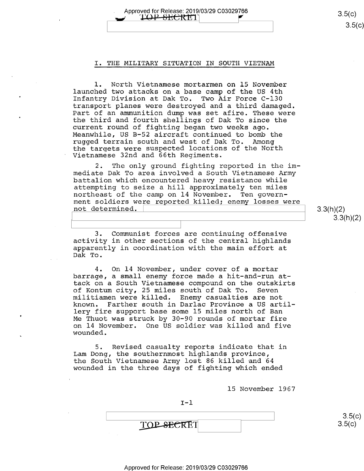$3.5(c)$  $3.5(c)$ 

### I. THE MILITARY SITUATION IN SOUTH VIETNAM

Approved for Release: 2019/03/29 C03029766<br>/ 【LOP-SECRET】

1. North Vietnamese mortarmen on 15 November launched two attacks on a base camp of the US 4th Infantry Division at Dak To. Two Air Force C-130 transport planes were destroyed and a third damaged. Part of an ammunition dump was set afire. These were the third and fourth shellings of Dak To since the current round of fighting began two weeks ago. Meanwhile, US B-52 aircraft continued to bomb the<br>rugged terrain south and west of Dak To, Among rugged terrain south and west of Dak To. the targets were suspected locations of the North Vietnamese 32nd and 66th Regiments.

2. The only ground fighting reported in the im-<br>mediate Dak To area involved a South Vietnamese Army battalion which encountered heavy resistance while attempting to seize a hill approximately ten miles northeast of the camp on 14 November. Ten government soldiers were reported killed; enemy losses were  $\int$  not determined.  $\int$  3.3(h)(2)

 $3.3(h)(2)$ 

3. Communist forces are continuing offensive activity in other sections of the central highlands apparently in coordination with the main effort at Dak To.

4. On 14 November, under cover of a mortar barrage, a small enemy force made a hit-and-run attack on a South Vietnamese compound on the outskirts<br>of Kontum city, 25 miles south of Dak To. Seven militiamen were killed. Enemy casualties are not known. Farther south in Darlac Province a US artillery fire support base some 15 miles north of Ban Me Thuot was struck by 30-90 rounds of mortar fire on 14 November. One US soldier was killed and five wounded.

5. Revised casualty reports indicate that in Lam Dong, the southernmost highlands province, the South Vietnamese Army lost 86 killed and 64 wounded in the three days of fighting which ended

15 November 1967

 $\overline{\phantom{a}}$  3.5(c)  $TOP$ , SECRET 8.5(c)

 $I-1$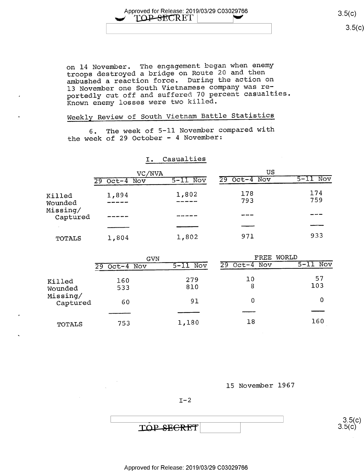Approved for Release: 2019/03/29 C03029766 3.5(c)<br>
TOP SECRET |

 $\begin{bmatrix} 0 & 0 \\ 0 & 0 \end{bmatrix}$ 

on l4 November. The engagement began when enemy troops destroyed a bridge on Route 20 and then ambushed a reaction force. During the action on l3 November one South Vietnamese company was reportedly cut off and suffered 70 percent casualties. Known enemy losses were two killed.

## Weekly Review of South Vietnam Battle Statistics

6. The week of 5-11 November compared with the week of 29 October - 4 November

## I. Casualties

|                      | VC/NVA            |            | US             |                                 |  |  |
|----------------------|-------------------|------------|----------------|---------------------------------|--|--|
|                      | $Oct-4$ Nov<br>29 | $5-11$ Nov | $29$ Oct-4 Nov | $\overline{\text{Nov}}$<br>5-11 |  |  |
| Killed<br>Wounded    | 1,894             | 1,802      | 178<br>793     | 174<br>759                      |  |  |
| Missing/<br>Captured |                   |            |                |                                 |  |  |
|                      |                   |            |                |                                 |  |  |
| <b>TOTALS</b>        | 1,804             | 1,802      | 971            | 933                             |  |  |

|                      | GVN               |            | WORLD<br>$\rm FREF$  |            |  |  |
|----------------------|-------------------|------------|----------------------|------------|--|--|
|                      | $Oct-4$ Nov<br>29 | $5-11$ Nov | Nov<br>$Oct-4$<br>29 | $5-11$ Nov |  |  |
| Killed<br>Wounded    | 160<br>533        | 279<br>810 | 10<br>8              | 57<br>103  |  |  |
| Missing/<br>Captured | 60                | 91         | 0                    | 0          |  |  |
| TOTALS               | 753               | 1,180      | 18                   | 160        |  |  |

l5 November 1967

 $I - 2$ 

 $\frac{3.5(c)}{c}$  $3.5(c)$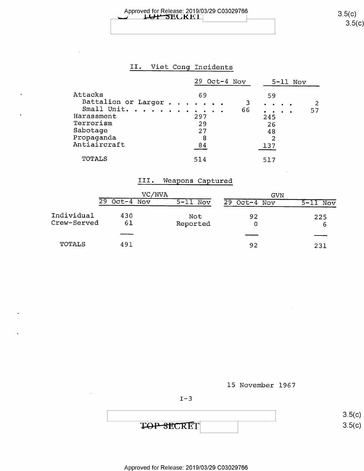# Approved for Release: 2019/03/29 C03029766 3.5(C) = 3.5(C) = 3.5(C) = 3.5(C) = 3.5(C) = 3.5(C) = 3.5(C) = 3.5(C) = 3.5(C) = 3.5(C) = 3.5(C) = 3.5(C) = 3.5(C) = 3.5(C) = 3.5(C) = 3.5(C) = 3.5(C) = 3.5(C) = 3.5(C) = 3.5(C) =

## II. Viet Cong Incidents

|                     |     |   |  | $29$ Oct-4 Nov |           |                                                                                                       |  | $5 - 11$ Nov |  |
|---------------------|-----|---|--|----------------|-----------|-------------------------------------------------------------------------------------------------------|--|--------------|--|
| Attacks             | 69  |   |  |                |           | 59                                                                                                    |  |              |  |
| Battalion or Larger |     |   |  | 3              | $\bullet$ |                                                                                                       |  |              |  |
| Small Unit.         |     |   |  | 66             |           | $\begin{array}{cccccccccccccc} \bullet & \bullet & \bullet & \bullet & \bullet & \bullet \end{array}$ |  | 57           |  |
| Harassment          | 297 |   |  |                |           | 245                                                                                                   |  |              |  |
| Terrorism           | 29  |   |  |                |           | 26                                                                                                    |  |              |  |
| Sabotage            | 27  |   |  |                |           | 48                                                                                                    |  |              |  |
| Propaganda          |     | 8 |  |                |           | 2                                                                                                     |  |              |  |
| Antiaircraft        | 84  |   |  |                | 137       |                                                                                                       |  |              |  |
| <b>TOTALS</b>       | 514 |   |  |                |           | 517                                                                                                   |  |              |  |

## T11. Weapons Captured

|                           | VC/NVA            |                 | GVN            |                 |  |  |
|---------------------------|-------------------|-----------------|----------------|-----------------|--|--|
|                           | $Oct-4$ Nov<br>29 | $5 - 11$ Nov    | $29$ Oct-4 Nov | Nov<br>$5 - 11$ |  |  |
| Individual<br>Crew-Served | 430<br>61         | Not<br>Reported | 92<br>0        | 225<br>6        |  |  |
|                           |                   |                 |                |                 |  |  |
| TOTALS                    | 491               |                 | 92             | 231             |  |  |

15 November 1967

 $I-3$ 

TOP SECRET



 $3.5$ (c

 $3.5(c)$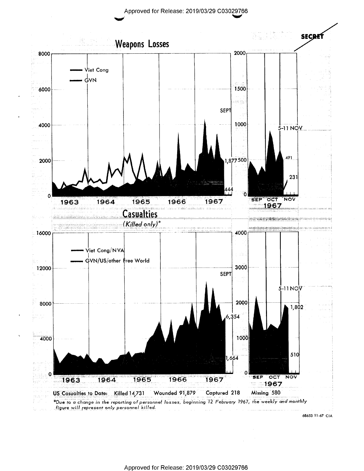Approved for Release: 2019/03/29 C03029766



68653 11-67 CIA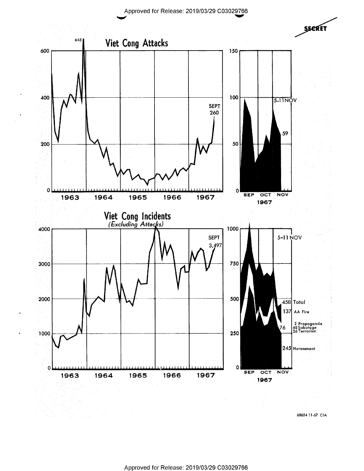Approved for Release: 2019/03/29 C03029766



6365411-67 CIA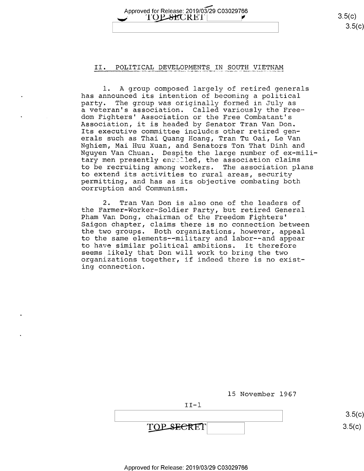Approved for Release: 2019/03/29 C03029766  $\begin{array}{c}\n 3.5(c) \\
 \hline\n 3.5(c)\n \end{array}$  $\overline{\phantom{S}}$  , s.f., s.f., s.f., s.f., s.f., s.f., s.f., s.f., s.f., s.f., s.f., s.f., s.f., s.f., s.f., s.f., s.f., s.f., s.f., s.f., s.f., s.f., s.f., s.f., s.f., s.f., s.f., s.f., s.f., s.f., s.f., s.f., s.f., s.f., s.f

#### II. POLITICAL DEVELOPMENTS IN SOUTH VIETNAM

l. A group composed largely of retired generals has announced its intention of becoming a political party. The group was originally formed in July as a veteran's association. Called variously the Freedom Fighters' Association or the Free Combatant's Association, it is headed by Senator Tran Van Don. Its executive committee includes other retired generals such as Thai Quang Hoang, Tran Tu Oai, Le Van Nghiem, Mai Huu Xuan, and Senators Ton That Dinh and Nguyen Van Chuan. Despite the large number of ex-military men presently enrolled, the association claims to be recruiting among workers. The association plans<br>to extend its activities to rural areas, security permitting, and has as its objective combating both corruption and Communism.

2. Tran Van Don is also one of the leaders of<br>the Farmer-Worker-Soldier Party, but retired General Pham Van Dong, chairman of the Freedom Fighters' Saigon chapter, claims there is no connection between the two groups. Both organizations, however, appeal to the same elements——military and labor——and appear to have similar political ambitions. It therefore<br>seems likely that Don will work to bring the two organizations together, if indeed there is no existing connection.

15 November l967

II—l

3.5(c)  $3.5(c)$ 

TOP SECRET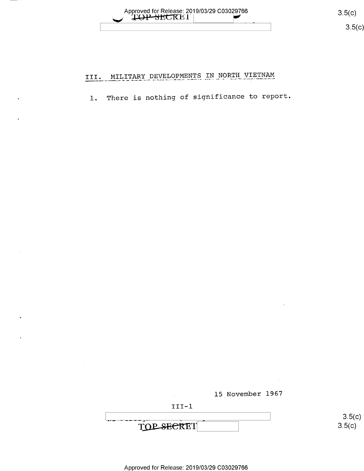Approved for Release: 2019/03/29 C03029766

 $3.5(c)$  $3.5(c)$ 

#### MILITARY DEVELOPMENTS IN NORTH VIETNAM III.

There is nothing of significance to report.  $1.$ 

15 November 1967



TOP SECRET

 $3.5(c)$  $3.5(c)$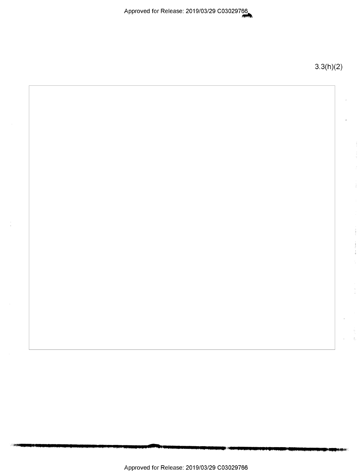Approved for Release: 2019/03/29 C030297g

3.3(h)(2)

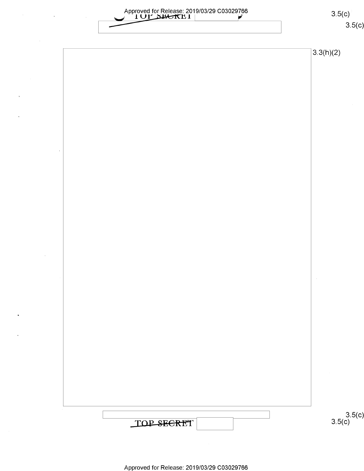|            | Approved for Release: 2019/03/29 C03029766 | 3.5(c)             |
|------------|--------------------------------------------|--------------------|
|            |                                            | 3.5(c)             |
|            |                                            | 3.3(h)(2)          |
|            |                                            |                    |
|            |                                            |                    |
| $\,$       |                                            |                    |
|            |                                            |                    |
|            |                                            |                    |
|            |                                            |                    |
|            |                                            |                    |
|            |                                            |                    |
|            |                                            |                    |
|            |                                            |                    |
|            |                                            |                    |
|            |                                            |                    |
| $\epsilon$ |                                            |                    |
|            |                                            |                    |
|            |                                            |                    |
|            |                                            |                    |
|            |                                            |                    |
|            |                                            |                    |
|            |                                            |                    |
|            |                                            |                    |
|            |                                            |                    |
|            |                                            |                    |
|            |                                            |                    |
|            | TOP SECRET                                 | $3.5(c)$<br>3.5(c) |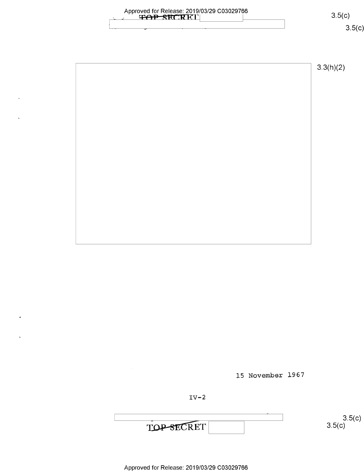| Approved for Release: 2019/03/29 C03029766<br>TRECRET | 3.5(c)<br>3.5(c) |
|-------------------------------------------------------|------------------|
|                                                       | 3.3(h)(2)        |
|                                                       |                  |
|                                                       |                  |
|                                                       |                  |
|                                                       |                  |

 $\lambda$ 

 $\ddot{\phantom{0}}$ 

 $\tilde{\textbf{t}}$ 

15 November 1967

 $IV-2$ 

TOP SECRET

 $3.5(c)$ <br>3.5(c)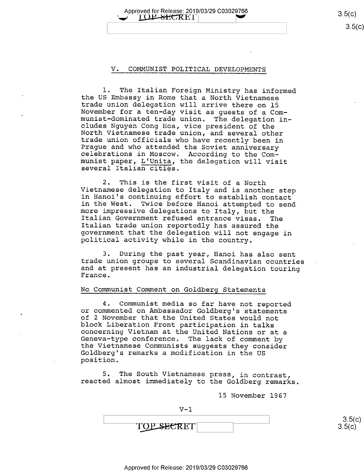Approved for Release: 2019/03/29 C03029766 3.5(C) 3.5(C) 3.5(C)  $3.5(c)$ 

#### V. COMMUNIST POLITICAL DEVELOPMENTS

1. The Italian Foreign Ministry has informed<br>the US Embassy in Rome that a North Vietnamese<br>trade union delegation will arrive there on 15<br>November for a ten-day visit as guests of a Com-<br>munist-dominated trade union. The

2. This is the first visit of a North<br>Vietnamese delegation to Italy and is another step<br>in Hanoi's continuing effort to establish contact<br>in the West. Twice before Hanoi attempted to send<br>more impressive delegations to It

3. During the past year, Hanoi has also sent trade union groups to several Scandinavian countries <sup>&</sup>lt; and at present has an industrial delegation touring France.

#### No Communist Comment on Goldberg Statements

4. Communist media so far have not reported<br>or commented on Ambassador Goldberg's statements<br>of 2 November that the United States would not block Liberation Front participation in talks<br>concerning Vietnam at the United Nations or at a<br>Geneva-type conference. The lack of comment by<br>the Vietnamese Communists suggests they consider<br>Goldberg's remarks a modificati

5. The South Vietnamese press, in contrast, reacted almost immediately to the Goldberg remarks.

15 November 1967

$$
\begin{array}{c|c}\n & 3.5(c) \\
\hline\n\text{TOP} \text{SEERET} & & 3.5(c)\n\end{array}
$$

 $V - 1$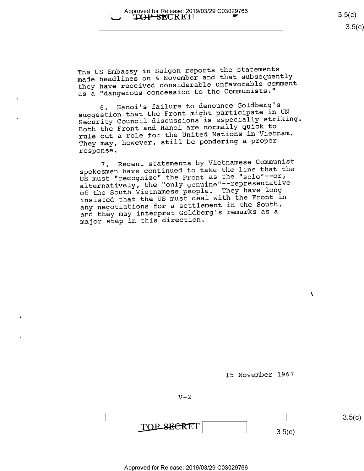The US Embassy in Saigon reports the statements made headlines on 4 November and that subsequently they have received considerable unfavorable comment as a "dangerous concession to the Communists."

6. Hanoi's failure to denounce Goldberg's suggestion that the Front might participate in UN Security Council discussions is especially striking. Both the Front and Hanoi are normally quick to rule out a role for the United Nations in Vietnam. They may, however, still be pondering a proper response.

7. Recent statements by Vietnamese Communist spokesmen have continued to take the line that the US must "recognize" the Front as the "sole"--or, alternatively, the "only genuine"--representative of the South Vietnamese people. They have long<br>IS with the Front in insisted that the US must deal with the Front in any negotiations for a settlement in the South, and they may interpret Goldberg's remarks as <sup>a</sup> major step in this direction.

15 November 1967

 $V-2$ 

TOP SECRET  $3.5(c)$ 

Approved for Release: 2019/03/29 C03029766

 $3.5(c)$ 

 $\mathbf{v}$